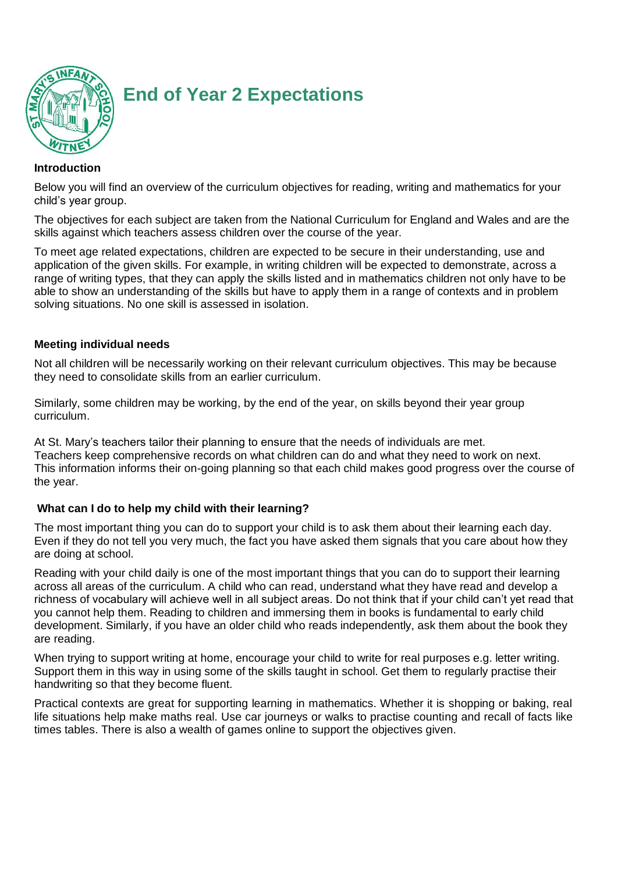

# **End of Year 2 Expectations**

#### **Introduction**

Below you will find an overview of the curriculum objectives for reading, writing and mathematics for your child's year group.

The objectives for each subject are taken from the National Curriculum for England and Wales and are the skills against which teachers assess children over the course of the year.

To meet age related expectations, children are expected to be secure in their understanding, use and application of the given skills. For example, in writing children will be expected to demonstrate, across a range of writing types, that they can apply the skills listed and in mathematics children not only have to be able to show an understanding of the skills but have to apply them in a range of contexts and in problem solving situations. No one skill is assessed in isolation.

#### **Meeting individual needs**

Not all children will be necessarily working on their relevant curriculum objectives. This may be because they need to consolidate skills from an earlier curriculum.

Similarly, some children may be working, by the end of the year, on skills beyond their year group curriculum.

At St. Mary's teachers tailor their planning to ensure that the needs of individuals are met. Teachers keep comprehensive records on what children can do and what they need to work on next. This information informs their on-going planning so that each child makes good progress over the course of the year.

#### **What can I do to help my child with their learning?**

The most important thing you can do to support your child is to ask them about their learning each day. Even if they do not tell you very much, the fact you have asked them signals that you care about how they are doing at school.

Reading with your child daily is one of the most important things that you can do to support their learning across all areas of the curriculum. A child who can read, understand what they have read and develop a richness of vocabulary will achieve well in all subject areas. Do not think that if your child can't yet read that you cannot help them. Reading to children and immersing them in books is fundamental to early child development. Similarly, if you have an older child who reads independently, ask them about the book they are reading.

When trying to support writing at home, encourage your child to write for real purposes e.g. letter writing. Support them in this way in using some of the skills taught in school. Get them to regularly practise their handwriting so that they become fluent.

Practical contexts are great for supporting learning in mathematics. Whether it is shopping or baking, real life situations help make maths real. Use car journeys or walks to practise counting and recall of facts like times tables. There is also a wealth of games online to support the objectives given.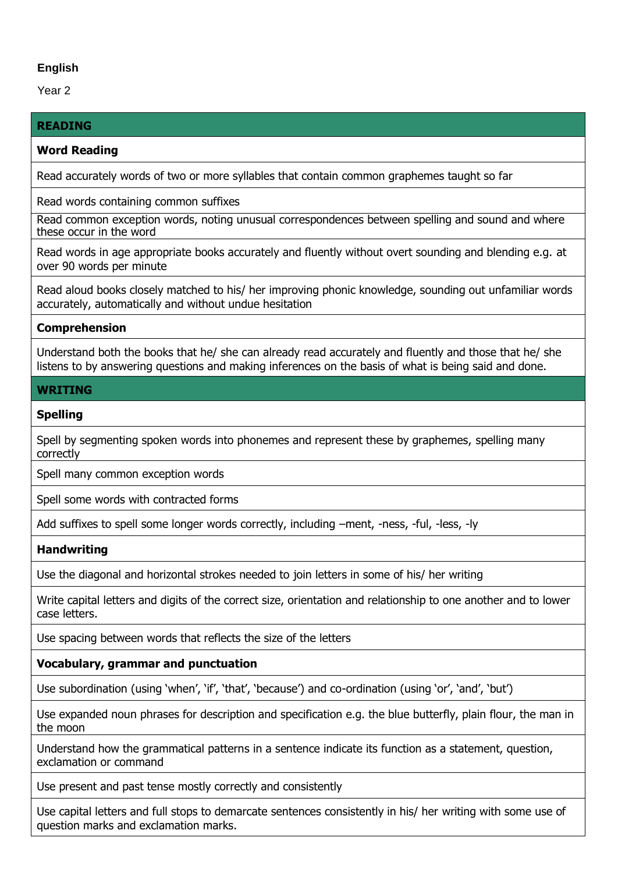## **English**

Year 2

## **READING**

#### **Word Reading**

Read accurately words of two or more syllables that contain common graphemes taught so far

Read words containing common suffixes

Read common exception words, noting unusual correspondences between spelling and sound and where these occur in the word

Read words in age appropriate books accurately and fluently without overt sounding and blending e.g. at over 90 words per minute

Read aloud books closely matched to his/ her improving phonic knowledge, sounding out unfamiliar words accurately, automatically and without undue hesitation

## **Comprehension**

Understand both the books that he/ she can already read accurately and fluently and those that he/ she listens to by answering questions and making inferences on the basis of what is being said and done.

## **WRITING**

## **Spelling**

Spell by segmenting spoken words into phonemes and represent these by graphemes, spelling many correctly

Spell many common exception words

Spell some words with contracted forms

Add suffixes to spell some longer words correctly, including –ment, -ness, -ful, -less, -ly

#### **Handwriting**

Use the diagonal and horizontal strokes needed to join letters in some of his/ her writing

Write capital letters and digits of the correct size, orientation and relationship to one another and to lower case letters.

Use spacing between words that reflects the size of the letters

## **Vocabulary, grammar and punctuation**

Use subordination (using 'when', 'if', 'that', 'because') and co-ordination (using 'or', 'and', 'but')

Use expanded noun phrases for description and specification e.g. the blue butterfly, plain flour, the man in the moon

Understand how the grammatical patterns in a sentence indicate its function as a statement, question, exclamation or command

Use present and past tense mostly correctly and consistently

Use capital letters and full stops to demarcate sentences consistently in his/ her writing with some use of question marks and exclamation marks.